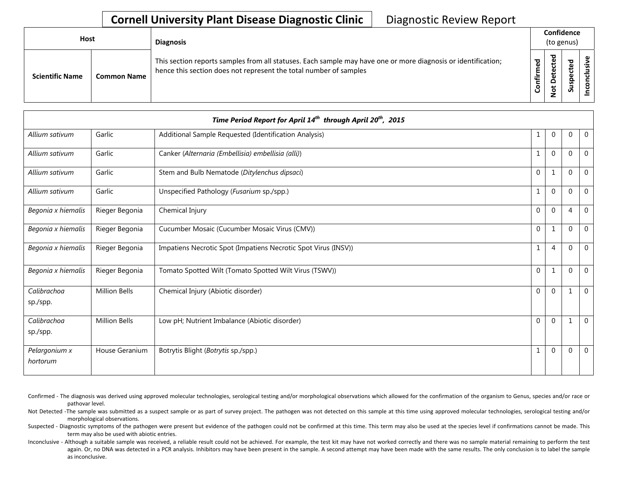## **Cornell University Plant Disease Diagnostic Clinic** | Diagnostic Review Report

| Host                   |                    | <b>Diagnosis</b>                                                                                                                                                                   | Confidence<br>(to genus) |                                             |               |   |
|------------------------|--------------------|------------------------------------------------------------------------------------------------------------------------------------------------------------------------------------|--------------------------|---------------------------------------------|---------------|---|
| <b>Scientific Name</b> | <b>Common Name</b> | This section reports samples from all statuses. Each sample may have one or more diagnosis or identification;<br>hence this section does not represent the total number of samples | ъ<br>٤<br>nfir           | ठ<br>$\mathbf \omega$<br>پ<br>t<br><u>۽</u> | ᇃ<br>-<br>్యె | ω |

|                           |                      | Time Period Report for April 14 <sup>th</sup> through April 20 <sup>th</sup> , 2015 |              |                |                |                |
|---------------------------|----------------------|-------------------------------------------------------------------------------------|--------------|----------------|----------------|----------------|
| Allium sativum            | Garlic               | Additional Sample Requested (Identification Analysis)                               | 1            | $\mathbf 0$    | 0              | $\mathbf{0}$   |
| Allium sativum            | Garlic               | Canker (Alternaria (Embellisia) embellisia (alli))                                  | $\mathbf{1}$ | $\Omega$       | $\Omega$       | $\Omega$       |
| Allium sativum            | Garlic               | Stem and Bulb Nematode (Ditylenchus dipsaci)                                        | $\Omega$     | $\mathbf{1}$   | $\Omega$       | $\Omega$       |
| Allium sativum            | Garlic               | Unspecified Pathology (Fusarium sp./spp.)                                           | $\mathbf{1}$ | $\Omega$       | $\Omega$       | $\mathbf{0}$   |
| Begonia x hiemalis        | Rieger Begonia       | Chemical Injury                                                                     | $\Omega$     | $\mathbf 0$    | $\overline{4}$ | $\mathbf 0$    |
| Begonia x hiemalis        | Rieger Begonia       | Cucumber Mosaic (Cucumber Mosaic Virus (CMV))                                       | $\mathbf 0$  | $\mathbf{1}$   | $\Omega$       | $\mathbf{0}$   |
| Begonia x hiemalis        | Rieger Begonia       | Impatiens Necrotic Spot (Impatiens Necrotic Spot Virus (INSV))                      | 1            | $\overline{4}$ | $\mathbf 0$    | $\mathbf 0$    |
| Begonia x hiemalis        | Rieger Begonia       | Tomato Spotted Wilt (Tomato Spotted Wilt Virus (TSWV))                              | $\Omega$     | $\mathbf{1}$   | $\Omega$       | $\mathbf{0}$   |
| Calibrachoa<br>sp./spp.   | <b>Million Bells</b> | Chemical Injury (Abiotic disorder)                                                  | $\Omega$     | $\Omega$       | $\mathbf{1}$   | $\Omega$       |
| Calibrachoa<br>sp./spp.   | <b>Million Bells</b> | Low pH; Nutrient Imbalance (Abiotic disorder)                                       | $\Omega$     | $\Omega$       | -1             | $\mathbf{0}$   |
| Pelargonium x<br>hortorum | House Geranium       | Botrytis Blight (Botrytis sp./spp.)                                                 | $\mathbf{1}$ | $\overline{0}$ | $\mathbf 0$    | $\overline{0}$ |

Confirmed - The diagnosis was derived using approved molecular technologies, serological testing and/or morphological observations which allowed for the confirmation of the organism to Genus, species and/or race or pathovar level.

Not Detected -The sample was submitted as a suspect sample or as part of survey project. The pathogen was not detected on this sample at this time using approved molecular technologies, serological testing and/or morphological observations.

Suspected - Diagnostic symptoms of the pathogen were present but evidence of the pathogen could not be confirmed at this time. This term may also be used at the species level if confirmations cannot be made. This term may also be used with abiotic entries.

Inconclusive - Although a suitable sample was received, a reliable result could not be achieved. For example, the test kit may have not worked correctly and there was no sample material remaining to perform the test again. Or, no DNA was detected in a PCR analysis. Inhibitors may have been present in the sample. A second attempt may have been made with the same results. The only conclusion is to label the sample as inconclusive.